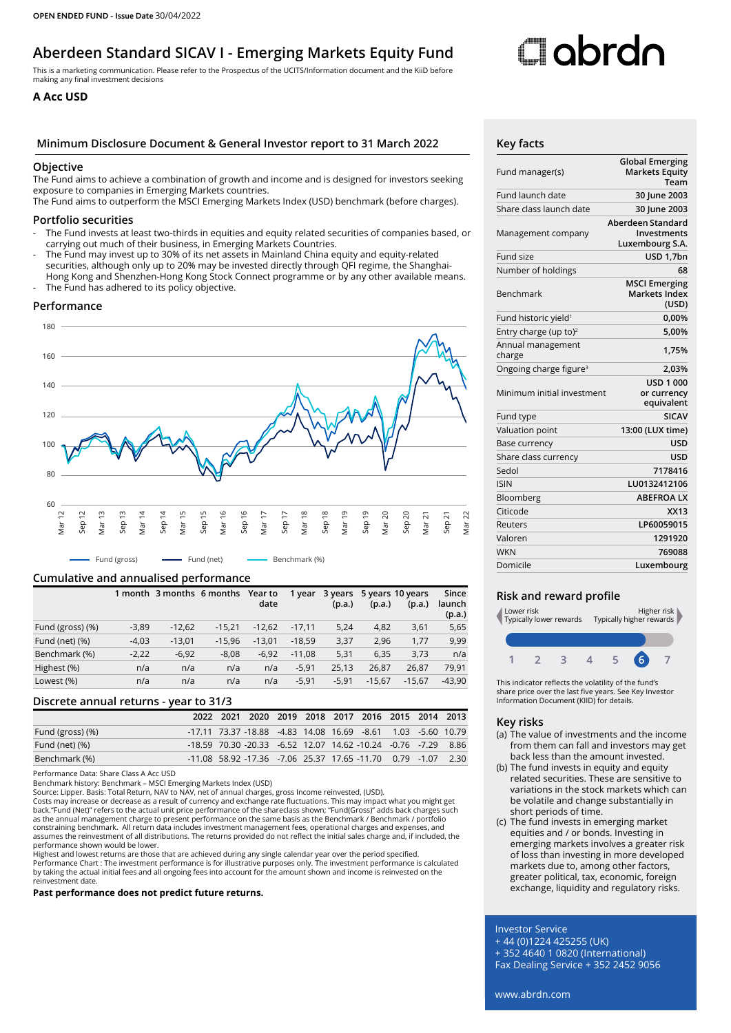## **Aberdeen Standard SICAV I - Emerging Markets Equity Fund**

This is a marketing communication. Please refer to the Prospectus of the UCITS/Information document and the KiiD before making any final investment decisions

### **A Acc USD**

#### **Minimum Disclosure Document & General Investor report to 31 March 2022 Key facts**

#### **Objective**

The Fund aims to achieve a combination of growth and income and is designed for investors seeking exposure to companies in Emerging Markets countries.

The Fund aims to outperform the MSCI Emerging Markets Index (USD) benchmark (before charges).

#### **Portfolio securities**

- The Fund invests at least two-thirds in equities and equity related securities of companies based, or carrying out much of their business, in Emerging Markets Countries.
- The Fund may invest up to 30% of its net assets in Mainland China equity and equity-related securities, although only up to 20% may be invested directly through QFI regime, the Shanghai-Hong Kong and Shenzhen-Hong Kong Stock Connect programme or by any other available means.
- The Fund has adhered to its policy objective.

#### **Performance**



#### **Cumulative and annualised performance**

|                  |         | 1 month 3 months 6 months |          | Year to<br>date | 1 year   | 3 years<br>(p.a.) | (p.a.)   | 5 years 10 years<br>(p.a.) | Since<br>launch<br>(p.a.) |
|------------------|---------|---------------------------|----------|-----------------|----------|-------------------|----------|----------------------------|---------------------------|
| Fund (gross) (%) | $-3,89$ | $-12.62$                  | $-15.21$ | $-12.62$        | $-17.11$ | 5,24              | 4,82     | 3,61                       | 5,65                      |
| Fund (net) (%)   | $-4,03$ | $-13,01$                  | $-15.96$ | $-13.01$        | $-18.59$ | 3,37              | 2,96     | 1.77                       | 9,99                      |
| Benchmark (%)    | $-2.22$ | $-6.92$                   | $-8.08$  | $-6.92$         | $-11.08$ | 5,31              | 6.35     | 3.73                       | n/a                       |
| Highest (%)      | n/a     | n/a                       | n/a      | n/a             | $-5,91$  | 25,13             | 26,87    | 26,87                      | 79.91                     |
| Lowest (%)       | n/a     | n/a                       | n/a      | n/a             | $-5,91$  | $-5,91$           | $-15.67$ | $-15.67$                   | $-43.90$                  |

#### **Discrete annual returns - year to 31/3**

|                  |  | 2022 2021 2020 2019 2018 2017 2016 2015 2014 2013                         |  |  |  |  |
|------------------|--|---------------------------------------------------------------------------|--|--|--|--|
| Fund (gross) (%) |  | -17.11 73.37 -18.88 -4.83 14.08 16.69 -8.61 1.03 -5.60 10.79              |  |  |  |  |
| Fund (net) (%)   |  | $-18.59$ 70.30 $-20.33$ $-6.52$ 12.07 14.62 $-10.24$ $-0.76$ $-7.29$ 8.86 |  |  |  |  |
| Benchmark (%)    |  | $-11.08$ 58.92 $-17.36$ $-7.06$ 25.37 17.65 $-11.70$ 0.79 $-1.07$ 2.30    |  |  |  |  |

Performance Data: Share Class A Acc USD

Benchmark history: Benchmark – MSCI Emerging Markets Index (USD)

Source: Lipper. Basis: Total Return, NAV to NAV, net of annual charges, gross Income reinvested, (USD).

Costs may increase or decrease as a result of currency and exchange rate fluctuations. This may impact what you might get back."Fund (Net)" refers to the actual unit price performance of the shareclass shown; "Fund(Gross)" adds back charges such<br>as the annual management charge to present performance on the same basis as the Benchmark / Benchm constraining benchmark. All return data includes investment management fees, operational charges and expenses, and<br>assumes the reinvestment of all distributions. The returns provided do not reflect the initial sales charg performance shown would be lower.

Highest and lowest returns are those that are achieved during any single calendar year over the period specified.

Performance Chart : The investment performance is for illustrative purposes only. The investment performance is calculated<br>by taking the actual initial fees and all ongoing fees into account for the amount shown and income reinvestment date.

#### **Past performance does not predict future returns.**

# Clobrdo

| Fund manager(s)                    | <b>Global Emerging</b><br><b>Markets Equity</b><br>Team    |
|------------------------------------|------------------------------------------------------------|
| Fund launch date                   | 30 June 2003                                               |
| Share class launch date            | 30 June 2003                                               |
| Management company                 | Aberdeen Standard<br><b>Investments</b><br>Luxembourg S.A. |
| Fund size                          | USD 1,7bn                                                  |
| Number of holdings                 | 68                                                         |
| Benchmark                          | <b>MSCI Emerging</b><br><b>Markets Index</b><br>(USD)      |
| Fund historic yield <sup>1</sup>   | 0,00%                                                      |
| Entry charge (up to) <sup>2</sup>  | 5.00%                                                      |
| Annual management<br>charge        | 1,75%                                                      |
| Ongoing charge figure <sup>3</sup> | 2,03%                                                      |
| Minimum initial investment         | <b>USD 1 000</b><br>or currency<br>equivalent              |
| Fund type                          | <b>SICAV</b>                                               |
| Valuation point                    | 13:00 (LUX time)                                           |
| Base currency                      | USD                                                        |
| Share class currency               | <b>USD</b>                                                 |
| Sedol                              | 7178416                                                    |
| <b>ISIN</b>                        | LU0132412106                                               |
| Bloomberg                          | <b>ABEFROALX</b>                                           |
| Citicode                           | <b>XX13</b>                                                |
| Reuters                            | LP60059015                                                 |
| Valoren                            | 1291920                                                    |
| <b>WKN</b>                         | 769088                                                     |
| Domicile                           | Luxembourg                                                 |
|                                    |                                                            |

#### **Risk and reward profile**



This indicator reflects the volatility of the fund's share price over the last five years. See Key Investor Information Document (KIID) for details.

#### **Key risks**

- (a) The value of investments and the income from them can fall and investors may get back less than the amount invested.
- (b) The fund invests in equity and equity related securities. These are sensitive to variations in the stock markets which can be volatile and change substantially in short periods of time.
- (c) The fund invests in emerging market equities and / or bonds. Investing in emerging markets involves a greater risk of loss than investing in more developed markets due to, among other factors, greater political, tax, economic, foreign exchange, liquidity and regulatory risks.

#### Investor Service

+ 44 (0)1224 425255 (UK)

+ 352 4640 1 0820 (International)

Fax Dealing Service + 352 2452 9056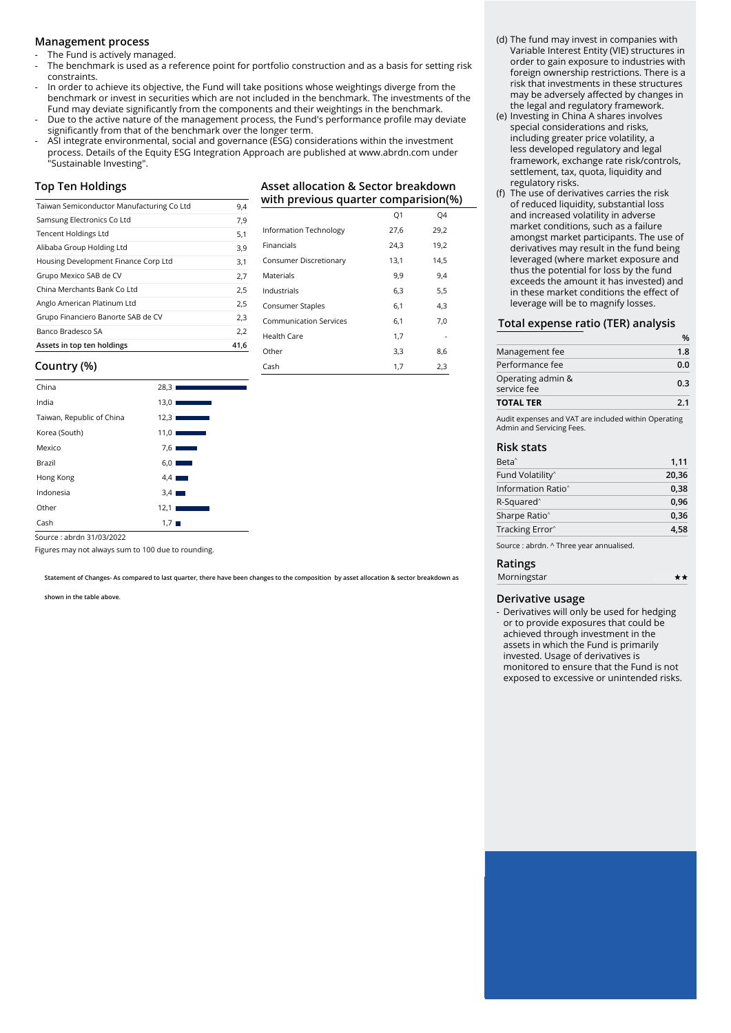#### **Management process**

The Fund is actively managed.

- The benchmark is used as a reference point for portfolio construction and as a basis for setting risk constraints.
- In order to achieve its objective, the Fund will take positions whose weightings diverge from the benchmark or invest in securities which are not included in the benchmark. The investments of the Fund may deviate significantly from the components and their weightings in the benchmark.
- Due to the active nature of the management process, the Fund's performance profile may deviate significantly from that of the benchmark over the longer term.
- ASI integrate environmental, social and governance (ESG) considerations within the investment process. Details of the Equity ESG Integration Approach are published at www.abrdn.com under "Sustainable Investing".

#### **Top Ten Holdings**

| Taiwan Semiconductor Manufacturing Co Ltd | 9,4  |
|-------------------------------------------|------|
| Samsung Electronics Co Ltd                | 7,9  |
| <b>Tencent Holdings Ltd</b>               | 5,1  |
| Alibaba Group Holding Ltd                 | 3,9  |
| Housing Development Finance Corp Ltd      | 3,1  |
| Grupo Mexico SAB de CV                    | 2,7  |
| China Merchants Bank Co Ltd               | 2,5  |
| Anglo American Platinum Ltd               | 2,5  |
| Grupo Financiero Banorte SAB de CV        | 2,3  |
| Banco Bradesco SA                         | 2,2  |
| Assets in top ten holdings                | 41.6 |

#### **with previous quarter comparision(%)**  $\Omega$ 1  $\Omega$ 4

**Asset allocation & Sector breakdown**

| Information Technology        | 27,6 | 29,2 |
|-------------------------------|------|------|
| Financials                    | 24,3 | 19,2 |
| Consumer Discretionary        | 13,1 | 14.5 |
| Materials                     | 9,9  | 9,4  |
| Industrials                   | 6.3  | 5.5  |
| Consumer Staples              | 6,1  | 4,3  |
| <b>Communication Services</b> | 6,1  | 7,0  |
| Health Care                   | 1,7  |      |
| Other                         | 3,3  | 8,6  |
| Cash                          | 1,7  | 2,3  |

#### **Country (%)**

| China                     | 28,31                             |
|---------------------------|-----------------------------------|
| India                     | 13,01<br><b>Contract Contract</b> |
| Taiwan, Republic of China | 12,31<br><b>Service Service</b>   |
| Korea (South)             | 11,01<br><b>STATISTICS</b>        |
| Mexico                    | 7.6                               |
| Brazil                    | 6,0<br><b>Contract</b>            |
| Hong Kong                 | $4.4$ $\blacksquare$              |
| Indonesia                 | $3.4$ $\blacksquare$              |
| Other                     | 12,1                              |
| Cash                      | $1,7$ $\blacksquare$              |
|                           |                                   |

Source : abrdn 31/03/2022

Figures may not always sum to 100 due to rounding.

**Statement of Changes- As compared to last quarter, there have been changes to the composition by asset allocation & sector breakdown as** 

**shown in the table above.**

#### (d) The fund may invest in companies with Variable Interest Entity (VIE) structures in order to gain exposure to industries with foreign ownership restrictions. There is a risk that investments in these structures may be adversely affected by changes in the legal and regulatory framework.

- (e) Investing in China A shares involves special considerations and risks, including greater price volatility, a less developed regulatory and legal framework, exchange rate risk/controls, settlement, tax, quota, liquidity and regulatory risks.
- (f) The use of derivatives carries the risk of reduced liquidity, substantial loss and increased volatility in adverse market conditions, such as a failure amongst market participants. The use of derivatives may result in the fund being leveraged (where market exposure and thus the potential for loss by the fund exceeds the amount it has invested) and in these market conditions the effect of leverage will be to magnify losses.

#### **Total expense ratio (TER) analysis**

| <b>TOTAL TER</b>                 | 2.1 |
|----------------------------------|-----|
| Operating admin &<br>service fee | 0.3 |
| Performance fee                  | 0.0 |
| Management fee                   | 1.8 |
|                                  | %   |

Audit expenses and VAT are included within Operating Admin and Servicing Fees.

#### **Risk stats**

| 1,11  |
|-------|
| 20,36 |
| 0.38  |
| 0.96  |
| 0,36  |
| 4.58  |
|       |

Source : abrdn. ^ Three year annualised.

#### **Ratings**

| Morningstar | ** |
|-------------|----|
|             |    |

#### **Derivative usage**

- Derivatives will only be used for hedging or to provide exposures that could be achieved through investment in the assets in which the Fund is primarily invested. Usage of derivatives is monitored to ensure that the Fund is not exposed to excessive or unintended risks.